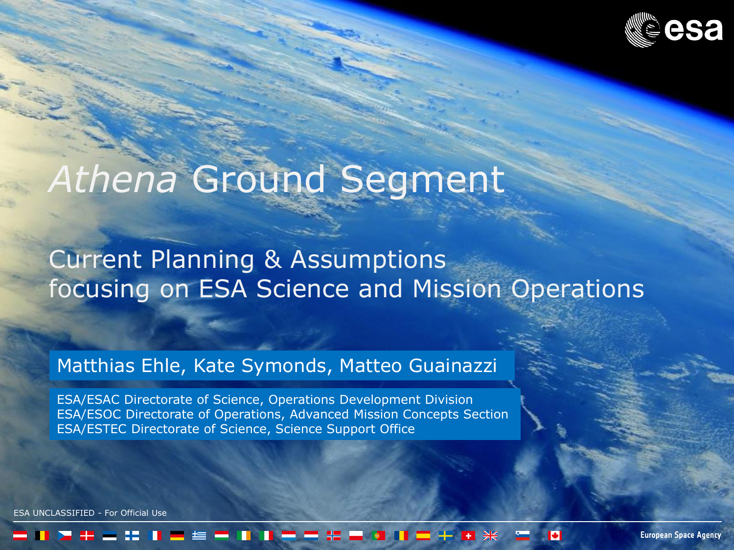

# *Athena* Ground Segment

# Current Planning & Assumptions focusing on ESA Science and Mission Operations

### Matthias Ehle, Kate Symonds, Matteo Guainazzi

ESA/ESAC Directorate of Science, Operations Development Division ESA/ESOC Directorate of Operations, Advanced Mission Concepts Section ESA/ESTEC Directorate of Science, Science Support Office

UNCLASSIFIED - For Official Use

**European Space Agency**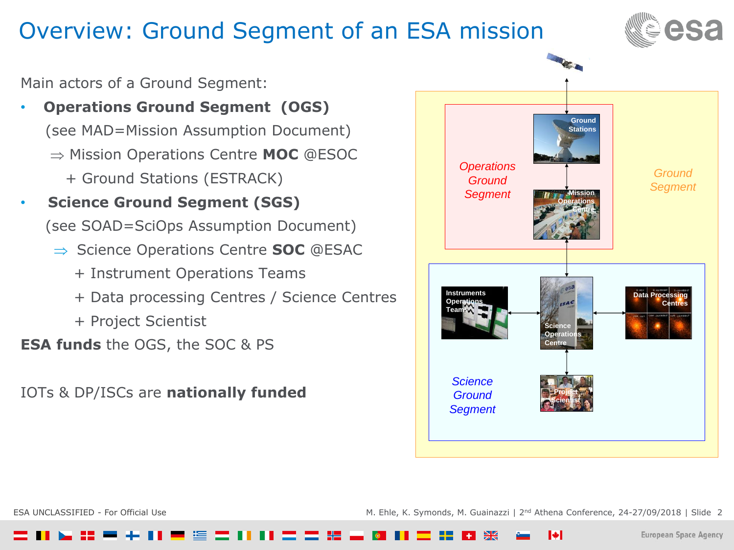# Overview: Ground Segment of an ESA mission



Main actors of a Ground Segment:

- **Operations Ground Segment (OGS)** (see MAD=Mission Assumption Document) Mission Operations Centre **MOC** @ESOC + Ground Stations (ESTRACK)
- **Science Ground Segment (SGS)** (see SOAD=SciOps Assumption Document)
	- **⇒ Science Operations Centre <b>SOC** @ESAC
		- + Instrument Operations Teams
		- + Data processing Centres / Science Centres
		- + Project Scientist

**ESA funds** the OGS, the SOC & PS

IOTs & DP/ISCs are **nationally funded**



ESA UNCLASSIFIED - For Official Use entitled and the material material of M. Ehle, K. Symonds, M. Guainazzi | 2<sup>nd</sup> Athena Conference, 24-27/09/2018 | Slide 2

IфI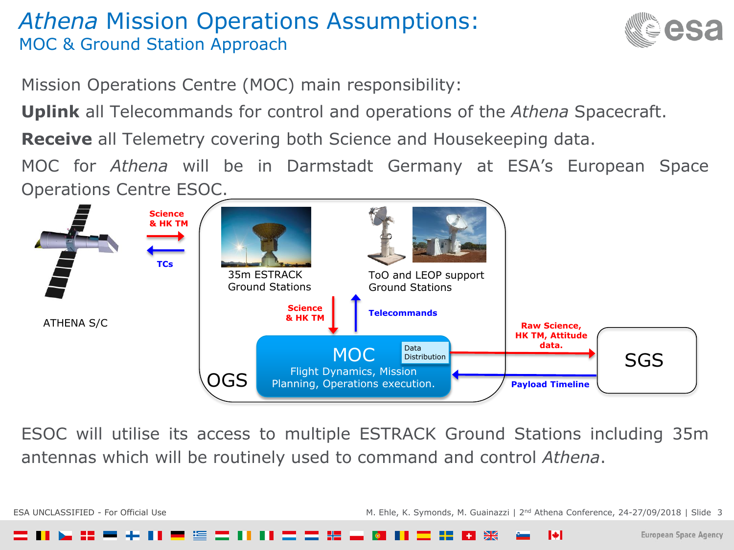# *Athena* Mission Operations Assumptions: MOC & Ground Station Approach



Mission Operations Centre (MOC) main responsibility:

**Uplink** all Telecommands for control and operations of the *Athena* Spacecraft.

**Receive** all Telemetry covering both Science and Housekeeping data.

MOC for *Athena* will be in Darmstadt Germany at ESA's European Space Operations Centre ESOC.



ESOC will utilise its access to multiple ESTRACK Ground Stations including 35m antennas which will be routinely used to command and control *Athena*.

ESA UNCLASSIFIED - For Official Use entitled and the material of the M. Ehle, K. Symonds, M. Guainazzi | 2<sup>nd</sup> Athena Conference, 24-27/09/2018 | Slide 3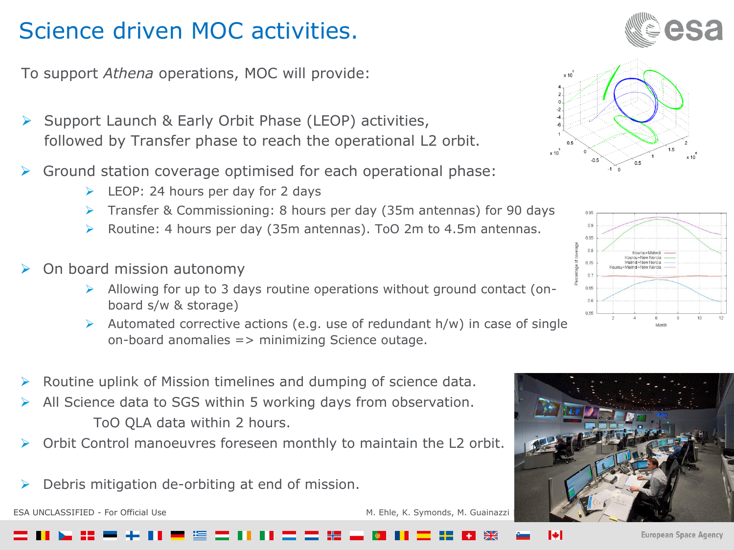# Science driven MOC activities.

To support *Athena* operations, MOC will provide:

- Support Launch & Early Orbit Phase (LEOP) activities, followed by Transfer phase to reach the operational L2 orbit.
- $\triangleright$  Ground station coverage optimised for each operational phase:
	- LEOP: 24 hours per day for 2 days
	- Transfer & Commissioning: 8 hours per day (35m antennas) for 90 days
	- Routine: 4 hours per day (35m antennas). ToO 2m to 4.5m antennas.
- On board mission autonomy
	- Allowing for up to 3 days routine operations without ground contact (onboard s/w & storage)
	- Automated corrective actions (e.g. use of redundant  $h/w$ ) in case of single on-board anomalies => minimizing Science outage.
- Routine uplink of Mission timelines and dumping of science data.
- All Science data to SGS within 5 working days from observation. ToO QLA data within 2 hours.
- Orbit Control manoeuvres foreseen monthly to maintain the L2 orbit.
- Debris mitigation de-orbiting at end of mission.

ESA UNCLASSIFIED - For Official Use M. Ehle, K. Symonds, M. Guainazzi







IФ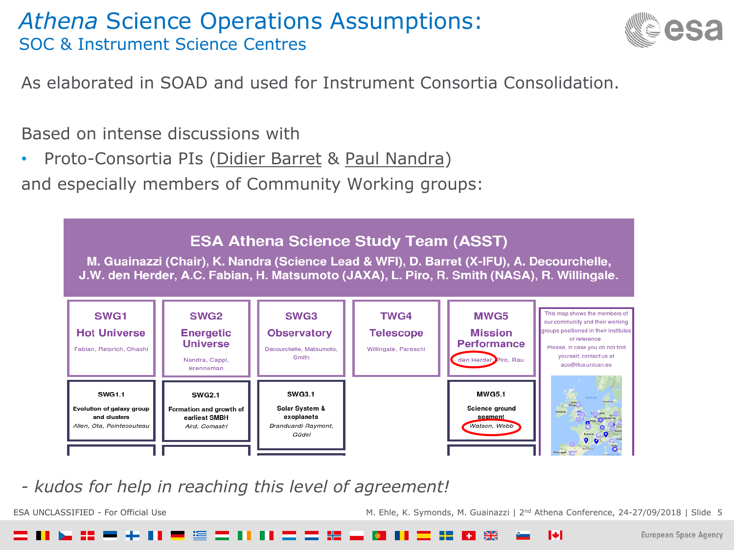

As elaborated in SOAD and used for Instrument Consortia Consolidation.

Based on intense discussions with

Proto-Consortia PIs (Didier Barret & Paul Nandra)

and especially members of Community Working groups:



- *kudos for help in reaching this level of agreement!*

ESA UNCLASSIFIED - For Official Use entitled and the state of the M. Ehle, K. Symonds, M. Guainazzi | 2<sup>nd</sup> Athena Conference, 24-27/09/2018 | Slide 5

I÷.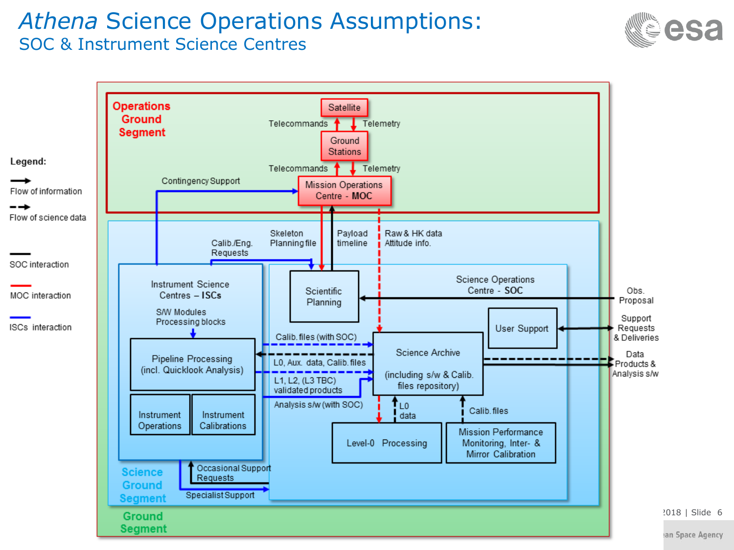



an Space Agency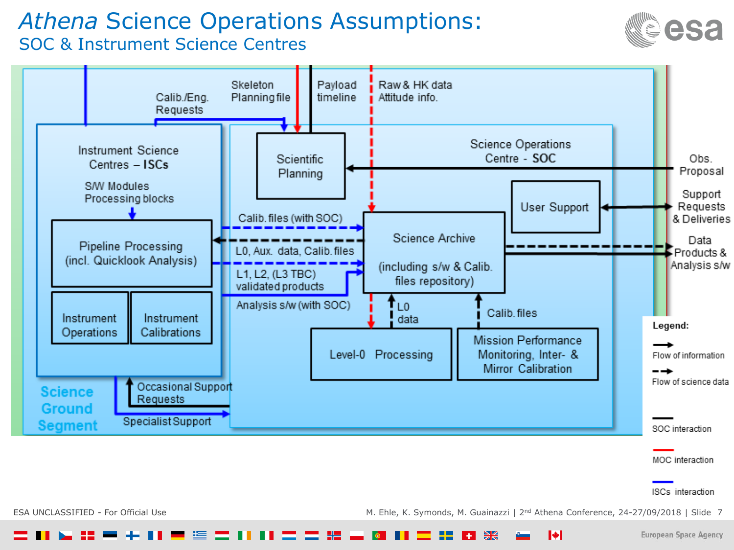



ISCs interaction

**European Space Agency** 

ESA UNCLASSIFIED - For Official Use entitled and the material material material M. Ehle, K. Symonds, M. Guainazzi | 2<sup>nd</sup> Athena Conference, 24-27/09/2018 | Slide 7

 $\blacktriangleright$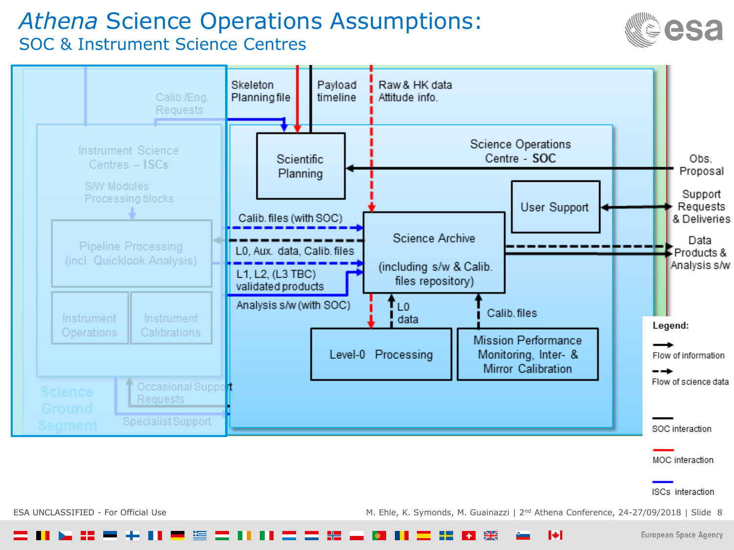

**European Space Agency** 



ESA UNCLASSIFIED - For Official Use entitled and the M. Ehle, K. Symonds, M. Guainazzi | 2<sup>nd</sup> Athena Conference, 24-27/09/2018 | Slide 8

 $\blacktriangleright$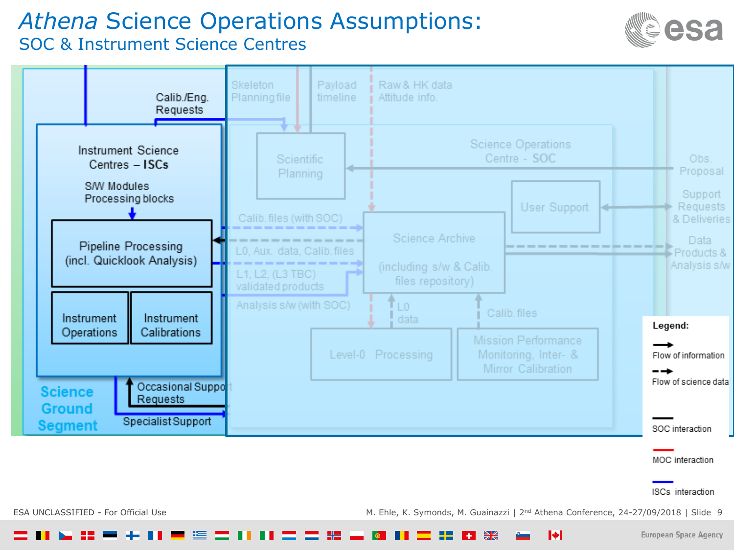

ISCs interaction

**European Space Agency** 



ESA UNCLASSIFIED - For Official Use entitled and the material of the M. Ehle, K. Symonds, M. Guainazzi | 2<sup>nd</sup> Athena Conference, 24-27/09/2018 | Slide 9

 $\blacktriangleright$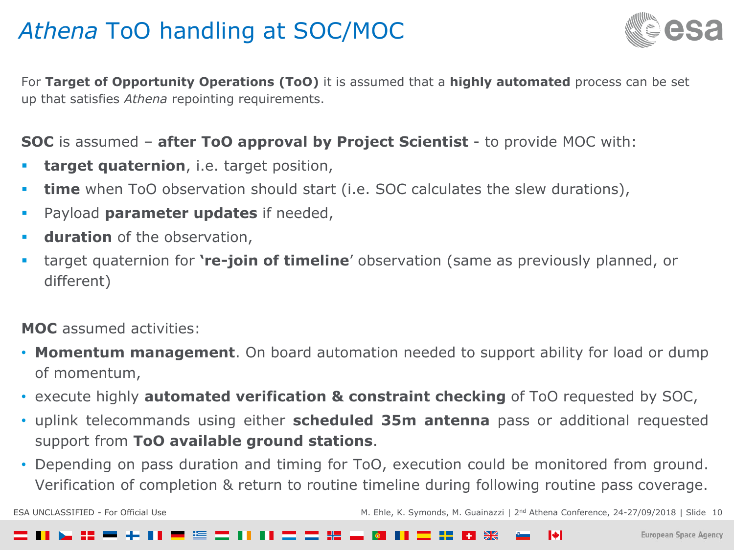# *Athena* ToO handling at SOC/MOC



For **Target of Opportunity Operations (ToO)** it is assumed that a **highly automated** process can be set up that satisfies *Athena* repointing requirements.

#### **SOC** is assumed – **after ToO approval by Project Scientist** - to provide MOC with:

- **target quaternion**, i.e. target position,
- **time** when ToO observation should start (i.e. SOC calculates the slew durations),
- Payload **parameter updates** if needed,
- **duration** of the observation,
- target quaternion for **'re-join of timeline**' observation (same as previously planned, or different)

#### **MOC** assumed activities:

- **Momentum management**. On board automation needed to support ability for load or dump of momentum,
- execute highly **automated verification & constraint checking** of ToO requested by SOC,
- uplink telecommands using either **scheduled 35m antenna** pass or additional requested support from **ToO available ground stations**.
- Depending on pass duration and timing for ToO, execution could be monitored from ground. Verification of completion & return to routine timeline during following routine pass coverage.

ESA UNCLASSIFIED - For Official Use entitled to the M. Ehle, K. Symonds, M. Guainazzi | 2<sup>nd</sup> Athena Conference, 24-27/09/2018 | Slide 10

#### I≑I . . . . .  $+1$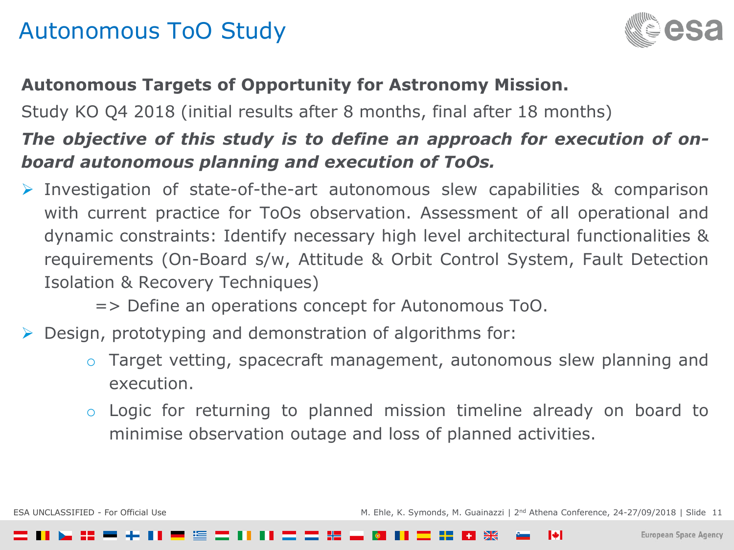# Autonomous ToO Study



#### **Autonomous Targets of Opportunity for Astronomy Mission.**

Study KO Q4 2018 (initial results after 8 months, final after 18 months)

## *The objective of this study is to define an approach for execution of onboard autonomous planning and execution of ToOs.*

- Investigation of state-of-the-art autonomous slew capabilities & comparison with current practice for ToOs observation. Assessment of all operational and dynamic constraints: Identify necessary high level architectural functionalities & requirements (On-Board s/w, Attitude & Orbit Control System, Fault Detection Isolation & Recovery Techniques)
	- => Define an operations concept for Autonomous ToO.
- Design, prototyping and demonstration of algorithms for:
	- o Target vetting, spacecraft management, autonomous slew planning and execution.
	- o Logic for returning to planned mission timeline already on board to minimise observation outage and loss of planned activities.

ESA UNCLASSIFIED - For Official Use entitled to the M. Ehle, K. Symonds, M. Guainazzi | 2<sup>nd</sup> Athena Conference, 24-27/09/2018 | Slide 11

IФ